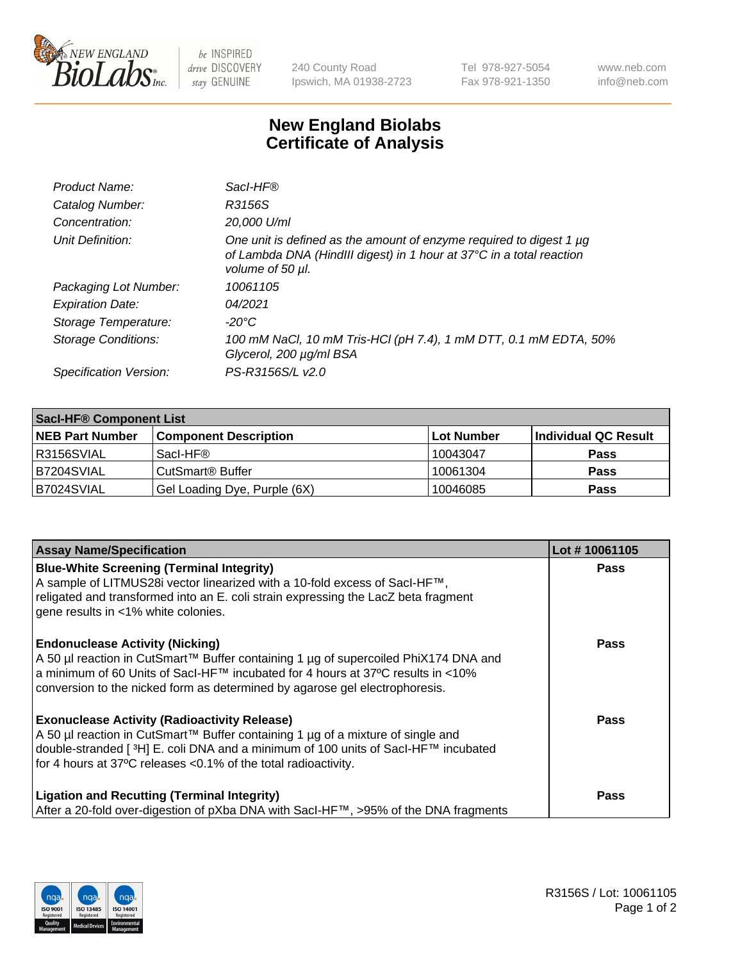

 $be$  INSPIRED drive DISCOVERY stay GENUINE

240 County Road Ipswich, MA 01938-2723 Tel 978-927-5054 Fax 978-921-1350 www.neb.com info@neb.com

## **New England Biolabs Certificate of Analysis**

| Product Name:              | Sacl-HF®                                                                                                                                                        |
|----------------------------|-----------------------------------------------------------------------------------------------------------------------------------------------------------------|
| Catalog Number:            | R3156S                                                                                                                                                          |
| Concentration:             | 20,000 U/ml                                                                                                                                                     |
| Unit Definition:           | One unit is defined as the amount of enzyme required to digest 1 µg<br>of Lambda DNA (HindIII digest) in 1 hour at 37°C in a total reaction<br>volume of 50 µl. |
| Packaging Lot Number:      | 10061105                                                                                                                                                        |
| <b>Expiration Date:</b>    | 04/2021                                                                                                                                                         |
| Storage Temperature:       | -20°C                                                                                                                                                           |
| <b>Storage Conditions:</b> | 100 mM NaCl, 10 mM Tris-HCl (pH 7.4), 1 mM DTT, 0.1 mM EDTA, 50%<br>Glycerol, 200 µg/ml BSA                                                                     |
| Specification Version:     | PS-R3156S/L v2.0                                                                                                                                                |

| <b>Saci-HF® Component List</b> |                              |            |                      |  |  |
|--------------------------------|------------------------------|------------|----------------------|--|--|
| <b>NEB Part Number</b>         | <b>Component Description</b> | Lot Number | Individual QC Result |  |  |
| I R3156SVIAL                   | Sacl-HF®                     | 10043047   | <b>Pass</b>          |  |  |
| B7204SVIAL                     | CutSmart <sup>®</sup> Buffer | 10061304   | <b>Pass</b>          |  |  |
| IB7024SVIAL                    | Gel Loading Dye, Purple (6X) | 10046085   | <b>Pass</b>          |  |  |

| <b>Assay Name/Specification</b>                                                                                                                                                                                                                                                                            | Lot #10061105 |
|------------------------------------------------------------------------------------------------------------------------------------------------------------------------------------------------------------------------------------------------------------------------------------------------------------|---------------|
| <b>Blue-White Screening (Terminal Integrity)</b><br>A sample of LITMUS28i vector linearized with a 10-fold excess of SacI-HF™,<br>religated and transformed into an E. coli strain expressing the LacZ beta fragment<br>gene results in <1% white colonies.                                                | <b>Pass</b>   |
| <b>Endonuclease Activity (Nicking)</b><br>A 50 µl reaction in CutSmart™ Buffer containing 1 µg of supercoiled PhiX174 DNA and<br>a minimum of 60 Units of Sacl-HF™ incubated for 4 hours at 37°C results in <10%<br>conversion to the nicked form as determined by agarose gel electrophoresis.            | <b>Pass</b>   |
| <b>Exonuclease Activity (Radioactivity Release)</b><br>A 50 µl reaction in CutSmart™ Buffer containing 1 µg of a mixture of single and<br>double-stranded [ <sup>3</sup> H] E. coli DNA and a minimum of 100 units of Sacl-HF™ incubated<br>for 4 hours at 37°C releases <0.1% of the total radioactivity. | <b>Pass</b>   |
| <b>Ligation and Recutting (Terminal Integrity)</b><br>After a 20-fold over-digestion of pXba DNA with Sacl-HF™, >95% of the DNA fragments                                                                                                                                                                  | <b>Pass</b>   |